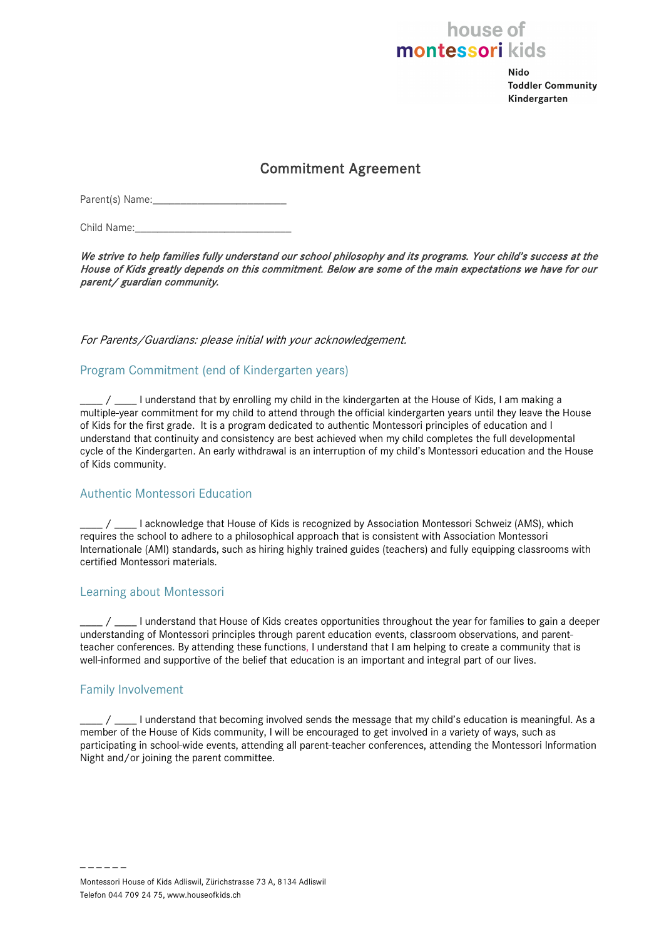## house of montessori kids

**Nido Toddler Community** Kindergarten

### Commitment Agreement

Parent(s) Name:

Child Name:

We strive to help families fully understand our school philosophy and its programs. Your child's success at the House of Kids greatly depends on this commitment. Below are some of the main expectations we have for our parent/ guardian community.

For Parents/Guardians: please initial with your acknowledgement.

#### Program Commitment (end of Kindergarten years)

\_\_\_\_ / \_\_\_\_ I understand that by enrolling my child in the kindergarten at the House of Kids, I am making a multiple-year commitment for my child to attend through the official kindergarten years until they leave the House of Kids for the first grade. It is a program dedicated to authentic Montessori principles of education and I understand that continuity and consistency are best achieved when my child completes the full developmental cycle of the Kindergarten. An early withdrawal is an interruption of my child's Montessori education and the House of Kids community.

#### Authentic Montessori Education

\_\_\_\_ / \_\_\_\_ I acknowledge that House of Kids is recognized by Association Montessori Schweiz (AMS), which requires the school to adhere to a philosophical approach that is consistent with Association Montessori Internationale (AMI) standards, such as hiring highly trained guides (teachers) and fully equipping classrooms with certified Montessori materials.

#### Learning about Montessori

 $\frac{1}{2}$  /  $\frac{1}{2}$  I understand that House of Kids creates opportunities throughout the year for families to gain a deeper understanding of Montessori principles through parent education events, classroom observations, and parentteacher conferences. By attending these functions, I understand that I am helping to create a community that is well-informed and supportive of the belief that education is an important and integral part of our lives.

#### Family Involvement

– – – – – –

/ \_\_\_\_ I understand that becoming involved sends the message that my child's education is meaningful. As a member of the House of Kids community, I will be encouraged to get involved in a variety of ways, such as participating in school-wide events, attending all parent-teacher conferences, attending the Montessori Information Night and/or joining the parent committee.

Montessori House of Kids Adliswil, Zürichstrasse 73 A, 8134 Adliswil Telefon 044 709 24 75, www.houseofkids.ch